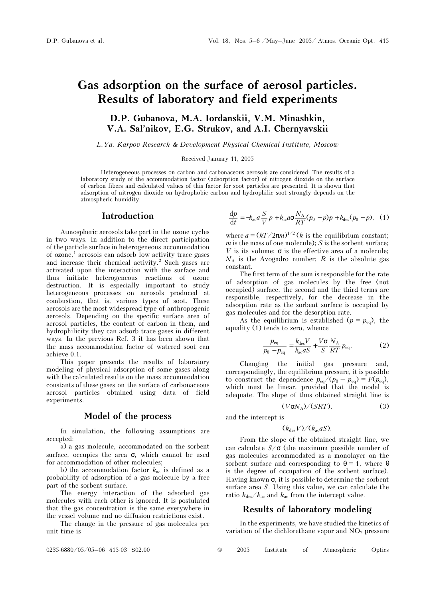# Gas adsorption on the surface of aerosol particles. Results of laboratory and field experiments

# D.P. Gubanova, M.A. Iordanskii, V.M. Minashkin, V.A. Sal'nikov, E.G. Strukov, and A.I. Chernyavskii

L.Ya. Karpov Research & Development Physical-Chemical Institute, Moscow

Received January 11, 2005

Heterogeneous processes on carbon and carbonaceous aerosols are considered. The results of a laboratory study of the accommodation factor (adsorption factor) of nitrogen dioxide on the surface of carbon fibers and calculated values of this factor for soot particles are presented. It is shown that adsorption of nitrogen dioxide on hydrophobic carbon and hydrophilic soot strongly depends on the atmospheric humidity.

## Introduction

Atmospheric aerosols take part in the ozone cycles in two ways. In addition to the direct participation of the particle surface in heterogeneous accommodation of ozone,<sup>1</sup> aerosols can adsorb low-activity trace gases and increase their chemical activity.<sup>2</sup> Such gases are activated upon the interaction with the surface and thus initiate heterogeneous reactions of ozone destruction. It is especially important to study heterogeneous processes on aerosols produced at combustion, that is, various types of soot. These aerosols are the most widespread type of anthropogenic aerosols. Depending on the specific surface area of aerosol particles, the content of carbon in them, and hydrophilicity they can adsorb trace gases in different ways. In the previous Ref. 3 it has been shown that the mass accommodation factor of watered soot can achieve 0.1.

This paper presents the results of laboratory modeling of physical adsorption of some gases along with the calculated results on the mass accommodation constants of these gases on the surface of carbonaceous aerosol particles obtained using data of field experiments.

### Model of the process

In simulation, the following assumptions are accepted:

a) a gas molecule, accommodated on the sorbent surface, occupies the area  $\sigma$ , which cannot be used for accommodation of other molecules;

b) the accommodation factor  $k_{ac}$  is defined as a probability of adsorption of a gas molecule by a free part of the sorbent surface.

The energy interaction of the adsorbed gas molecules with each other is ignored. It is postulated that the gas concentration is the same everywhere in the vessel volume and no diffusion restrictions exist.

The change in the pressure of gas molecules per unit time is

$$
\frac{\mathrm{d}p}{\mathrm{d}t} = -k_{\mathrm{ac}}a\frac{S}{V}p + k_{\mathrm{ac}}a\sigma\frac{N_{\mathrm{A}}}{RT}(p_0 - p)p + k_{\mathrm{des}}(p_0 - p), \quad (1)
$$

where  $a = (kT/2\pi m)^{1/2}$  (*k* is the equilibrium constant;  $m$  is the mass of one molecule);  $S$  is the sorbent surface; V is its volume;  $\sigma$  is the effective area of a molecule;  $N_A$  is the Avogadro number; R is the absolute gas constant.

The first term of the sum is responsible for the rate of adsorption of gas molecules by the free (not occupied) surface, the second and the third terms are responsible, respectively, for the decrease in the adsorption rate as the sorbent surface is occupied by gas molecules and for the desorption rate.

As the equilibrium is established  $(p = p_{eq})$ , the equality (1) tends to zero, whence

$$
\frac{p_{\text{eq}}}{p_0 - p_{\text{eq}}} = \frac{k_{\text{des}} V}{k_{\text{ac}} a S} + \frac{V \sigma}{S} \frac{N_A}{RT} p_{\text{eq}}.
$$
 (2)

Changing the initial gas pressure and, correspondingly, the equilibrium pressure, it is possible to construct the dependence  $p_{eq}/(p_0 - p_{eq}) = F(p_{eq}),$ which must be linear, provided that the model is adequate. The slope of thus obtained straight line is

$$
(V\sigma N_A)/(SRT), \tag{3}
$$

and the intercept is

$$
(k_{\rm des}V)/(k_{\rm ac}aS).
$$

From the slope of the obtained straight line, we can calculate  $S/\sigma$  (the maximum possible number of gas molecules accommodated as a monolayer on the sorbent surface and corresponding to  $\theta = 1$ , where  $\theta$ is the degree of occupation of the sorbent surface). Having known  $\sigma$ , it is possible to determine the sorbent surface area S. Using this value, we can calculate the ratio  $k_{\text{des}}/k_{\text{ac}}$  and  $k_{\text{ac}}$  from the intercept value.

### Results of laboratory modeling

In the experiments, we have studied the kinetics of variation of the dichlorethane vapor and  $NO<sub>2</sub>$  pressure

0235-6880/05/05–06 415-03 \$02.00 © 2005 Institute of Atmospheric Optics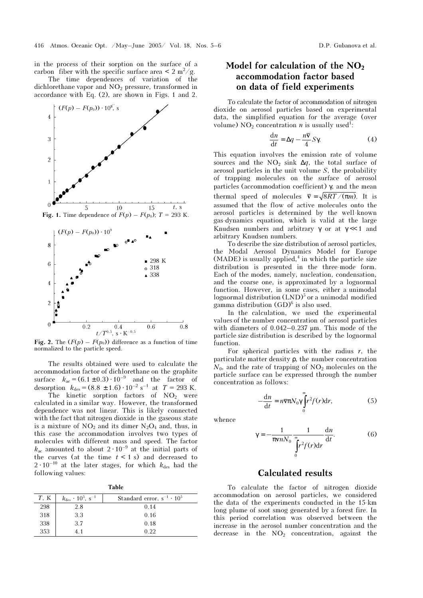in the process of their sorption on the surface of a carbon fiber with the specific surface area  $\leq 2 \text{ m}^2/\text{g}$ .

The time dependences of variation of the dichlorethane vapor and  $NO<sub>2</sub>$  pressure, transformed in accordance with Eq. (2), are shown in Figs. 1 and 2.



Fig. 2. The  $(F(p) - F(p_0))$  difference as a function of time normalized to the particle speed.

The results obtained were used to calculate the accommodation factor of dichlorethane on the graphite surface  $k_{\text{ac}} = (6.1 \pm 0.3) \cdot 10^{-9}$  and the factor of desorption  $k_{\text{des}} = (8.8 \pm 1.6) \cdot 10^{-2} \text{ s}^{-1}$  at  $T = 293 \text{ K}.$ 

The kinetic sorption factors of  $NO<sub>2</sub>$  were calculated in a similar way. However, the transformed dependence was not linear. This is likely connected with the fact that nitrogen dioxide in the gaseous state is a mixture of  $NO_2$  and its dimer  $N_2O_4$  and, thus, in this case the accommodation involves two types of molecules with different mass and speed. The factor  $k_{\text{ac}}$  amounted to about 2  $\cdot$  10<sup>-9</sup> at the initial parts of the curves (at the time  $t < 1$  s) and decreased to  $2 \cdot 10^{-10}$  at the later stages, for which  $k_{\text{des}}$  had the following values:

|--|

| $T$ , K | $k_{\text{des}} \cdot 10^5$ , s <sup>-1</sup> | Standard error, $s^{-1} \cdot 10^5$ |
|---------|-----------------------------------------------|-------------------------------------|
| 298     | 2.8                                           | 0.14                                |
| 318     | 3.3                                           | 0.16                                |
| 338     | 37                                            | 0.18                                |
| 353     | 41                                            | 0.22                                |

# Model for calculation of the  $NO<sub>2</sub>$ accommodation factor based on data of field experiments

To calculate the factor of accommodation of nitrogen dioxide on aerosol particles based on experimental data, the simplified equation for the average (over volume) NO<sub>2</sub> concentration *n* is usually used<sup>1</sup>:

$$
\frac{\mathrm{d}n}{\mathrm{d}t} = \Delta q - \frac{n\overline{\mathbf{v}}}{4} S\gamma.
$$
 (4)

This equation involves the emission rate of volume sources and the NO<sub>2</sub> sink  $\Delta q$ , the total surface of aerosol particles in the unit volume S, the probability of trapping molecules on the surface of aerosol particles (accommodation coefficient) γ, and the mean thermal speed of molecules  $\bar{v} = \sqrt{8RT / (\pi m)}$ . It is assumed that the flow of active molecules onto the aerosol particles is determined by the well-known gas-dynamics equation, which is valid at the large Knudsen numbers and arbitrary  $\gamma$  or at  $\gamma \ll 1$  and arbitrary Knudsen numbers.

To describe the size distribution of aerosol particles, the Modal Aerosol Dynamics Model for Europe  $(MADE)$  is usually applied,<sup>4</sup> in which the particle size distribution is presented in the three-mode form. Each of the modes, namely, nucleation, condensation, and the coarse one, is approximated by a lognormal function. However, in some cases, either a unimodal lognormal distribution  $(LND)^5$  or a unimodal modified gamma distribution  $(GD)^6$  is also used.

In the calculation, we used the experimental values of the number concentration of aerosol particles with diameters of 0.042–0.237  $\mu$ m. This mode of the particle size distribution is described by the lognormal function.

For spherical particles with the radius  $r$ , the particulate matter density ρ, the number concentration  $N_0$ , and the rate of trapping of  $NO_2$  molecules on the particle surface can be expressed through the number concentration as follows:

$$
-\frac{\mathrm{d}n}{\mathrm{d}t} = n\overline{\mathbf{v}}\pi N_0 \gamma \int_0^\infty r^2 f(r) \mathrm{d}r,\tag{5}
$$

whence

$$
\gamma = -\frac{1}{\pi v n N_0} \frac{1}{\int_0^{\infty} r^2 f(r) dr} \frac{dn}{dt}.
$$
 (6)

## Calculated results

To calculate the factor of nitrogen dioxide accommodation on aerosol particles, we considered the data of the experiments conducted in the 15-km long plume of soot smog generated by a forest fire. In this period correlation was observed between the increase in the aerosol number concentration and the decrease in the  $NO<sub>2</sub>$  concentration, against the